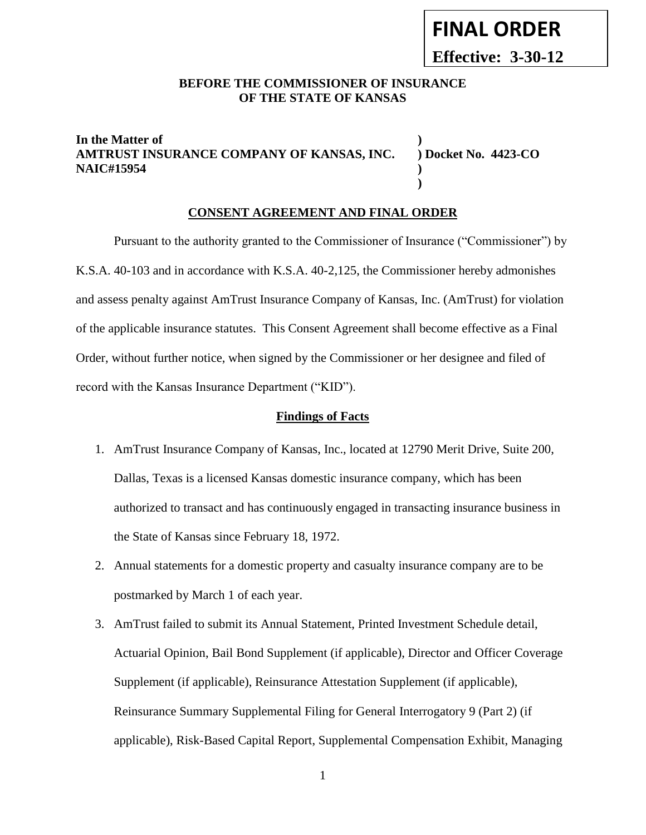# **FINAL ORDER**

**Effective: 3-30-12**

#### **BEFORE THE COMMISSIONER OF INSURANCE OF THE STATE OF KANSAS**

#### **In the Matter of ) AMTRUST INSURANCE COMPANY OF KANSAS, INC. ) Docket No. 4423-CO NAIC#15954 )**

**)**

#### **CONSENT AGREEMENT AND FINAL ORDER**

Pursuant to the authority granted to the Commissioner of Insurance ("Commissioner") by K.S.A. 40-103 and in accordance with K.S.A. 40-2,125, the Commissioner hereby admonishes and assess penalty against AmTrust Insurance Company of Kansas, Inc. (AmTrust) for violation of the applicable insurance statutes. This Consent Agreement shall become effective as a Final Order, without further notice, when signed by the Commissioner or her designee and filed of record with the Kansas Insurance Department ("KID").

#### **Findings of Facts**

- 1. AmTrust Insurance Company of Kansas, Inc., located at 12790 Merit Drive, Suite 200, Dallas, Texas is a licensed Kansas domestic insurance company, which has been authorized to transact and has continuously engaged in transacting insurance business in the State of Kansas since February 18, 1972.
- 2. Annual statements for a domestic property and casualty insurance company are to be postmarked by March 1 of each year.
- 3. AmTrust failed to submit its Annual Statement, Printed Investment Schedule detail, Actuarial Opinion, Bail Bond Supplement (if applicable), Director and Officer Coverage Supplement (if applicable), Reinsurance Attestation Supplement (if applicable), Reinsurance Summary Supplemental Filing for General Interrogatory 9 (Part 2) (if applicable), Risk-Based Capital Report, Supplemental Compensation Exhibit, Managing

1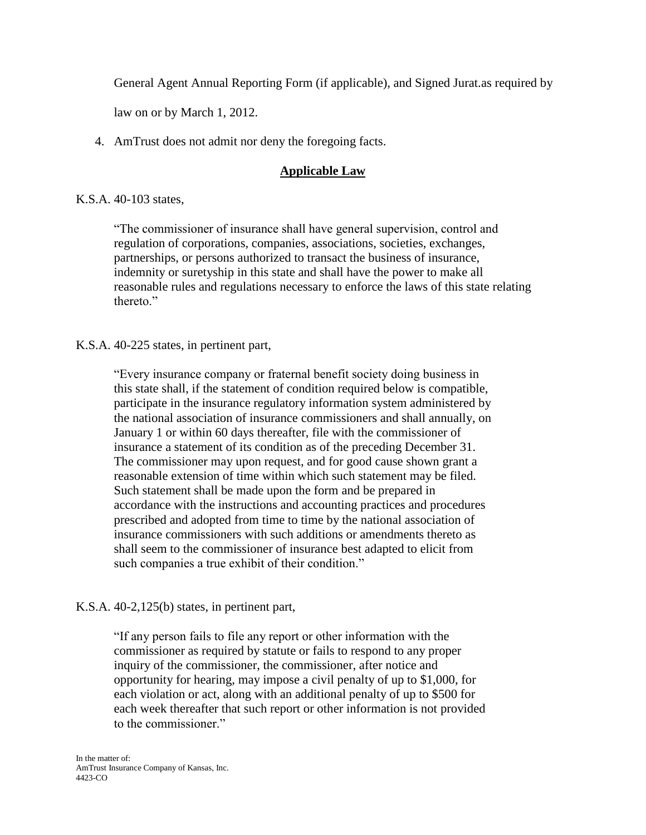General Agent Annual Reporting Form (if applicable), and Signed Jurat.as required by

law on or by March 1, 2012.

4. AmTrust does not admit nor deny the foregoing facts.

### **Applicable Law**

#### K.S.A. 40-103 states,

"The commissioner of insurance shall have general supervision, control and regulation of corporations, companies, associations, societies, exchanges, partnerships, or persons authorized to transact the business of insurance, indemnity or suretyship in this state and shall have the power to make all reasonable rules and regulations necessary to enforce the laws of this state relating thereto."

#### K.S.A. 40-225 states, in pertinent part,

"Every insurance company or fraternal benefit society doing business in this state shall, if the statement of condition required below is compatible, participate in the insurance regulatory information system administered by the national association of insurance commissioners and shall annually, on January 1 or within 60 days thereafter, file with the commissioner of insurance a statement of its condition as of the preceding December 31. The commissioner may upon request, and for good cause shown grant a reasonable extension of time within which such statement may be filed. Such statement shall be made upon the form and be prepared in accordance with the instructions and accounting practices and procedures prescribed and adopted from time to time by the national association of insurance commissioners with such additions or amendments thereto as shall seem to the commissioner of insurance best adapted to elicit from such companies a true exhibit of their condition."

#### K.S.A. 40-2,125(b) states, in pertinent part,

"If any person fails to file any report or other information with the commissioner as required by statute or fails to respond to any proper inquiry of the commissioner, the commissioner, after notice and opportunity for hearing, may impose a civil penalty of up to \$1,000, for each violation or act, along with an additional penalty of up to \$500 for each week thereafter that such report or other information is not provided to the commissioner."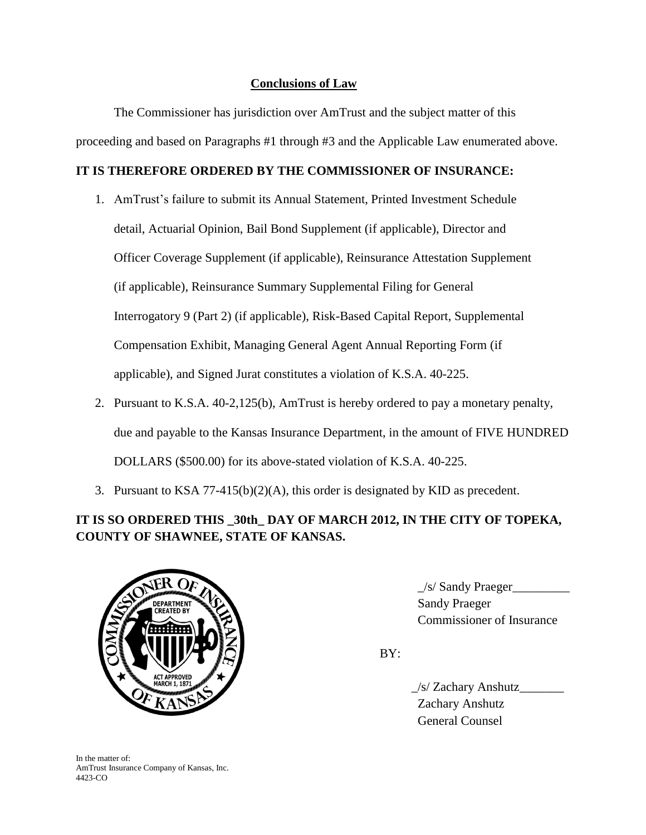## **Conclusions of Law**

The Commissioner has jurisdiction over AmTrust and the subject matter of this proceeding and based on Paragraphs #1 through #3 and the Applicable Law enumerated above.

#### **IT IS THEREFORE ORDERED BY THE COMMISSIONER OF INSURANCE:**

- 1. AmTrust's failure to submit its Annual Statement, Printed Investment Schedule detail, Actuarial Opinion, Bail Bond Supplement (if applicable), Director and Officer Coverage Supplement (if applicable), Reinsurance Attestation Supplement (if applicable), Reinsurance Summary Supplemental Filing for General Interrogatory 9 (Part 2) (if applicable), Risk-Based Capital Report, Supplemental Compensation Exhibit, Managing General Agent Annual Reporting Form (if applicable), and Signed Jurat constitutes a violation of K.S.A. 40-225.
- 2. Pursuant to K.S.A. 40-2,125(b), AmTrust is hereby ordered to pay a monetary penalty, due and payable to the Kansas Insurance Department, in the amount of FIVE HUNDRED DOLLARS (\$500.00) for its above-stated violation of K.S.A. 40-225.
- 3. Pursuant to KSA 77-415(b)(2)(A), this order is designated by KID as precedent.

## **IT IS SO ORDERED THIS \_30th\_ DAY OF MARCH 2012, IN THE CITY OF TOPEKA, COUNTY OF SHAWNEE, STATE OF KANSAS.**



 $\frac{1}{s}$  Sandy Praeger 6. Commissioner of Insurance

BY:

 $\angle$ s/ Zachary Anshutz Zachary Anshutz General Counsel

In the matter of: AmTrust Insurance Company of Kansas, Inc. 4423-CO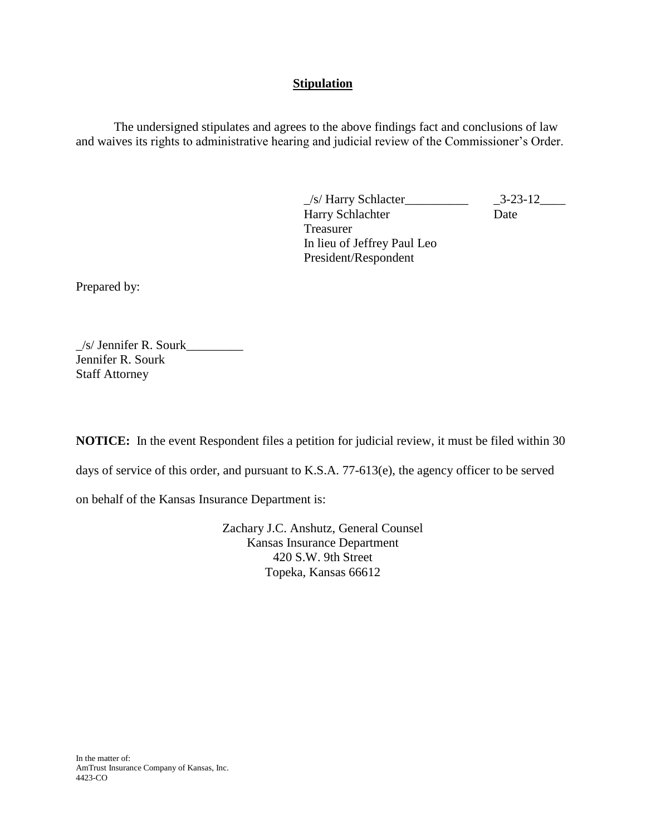#### **Stipulation**

The undersigned stipulates and agrees to the above findings fact and conclusions of law and waives its rights to administrative hearing and judicial review of the Commissioner's Order.

> \_/s/ Harry Schlacter\_\_\_\_\_\_\_\_\_\_ \_3-23-12\_\_\_\_ Harry Schlachter Date Treasurer In lieu of Jeffrey Paul Leo President/Respondent

Prepared by:

 $\angle$ s/ Jennifer R. Sourk $\angle$ Jennifer R. Sourk Staff Attorney

**NOTICE:** In the event Respondent files a petition for judicial review, it must be filed within 30

days of service of this order, and pursuant to K.S.A. 77-613(e), the agency officer to be served

on behalf of the Kansas Insurance Department is:

Zachary J.C. Anshutz, General Counsel Kansas Insurance Department 420 S.W. 9th Street Topeka, Kansas 66612